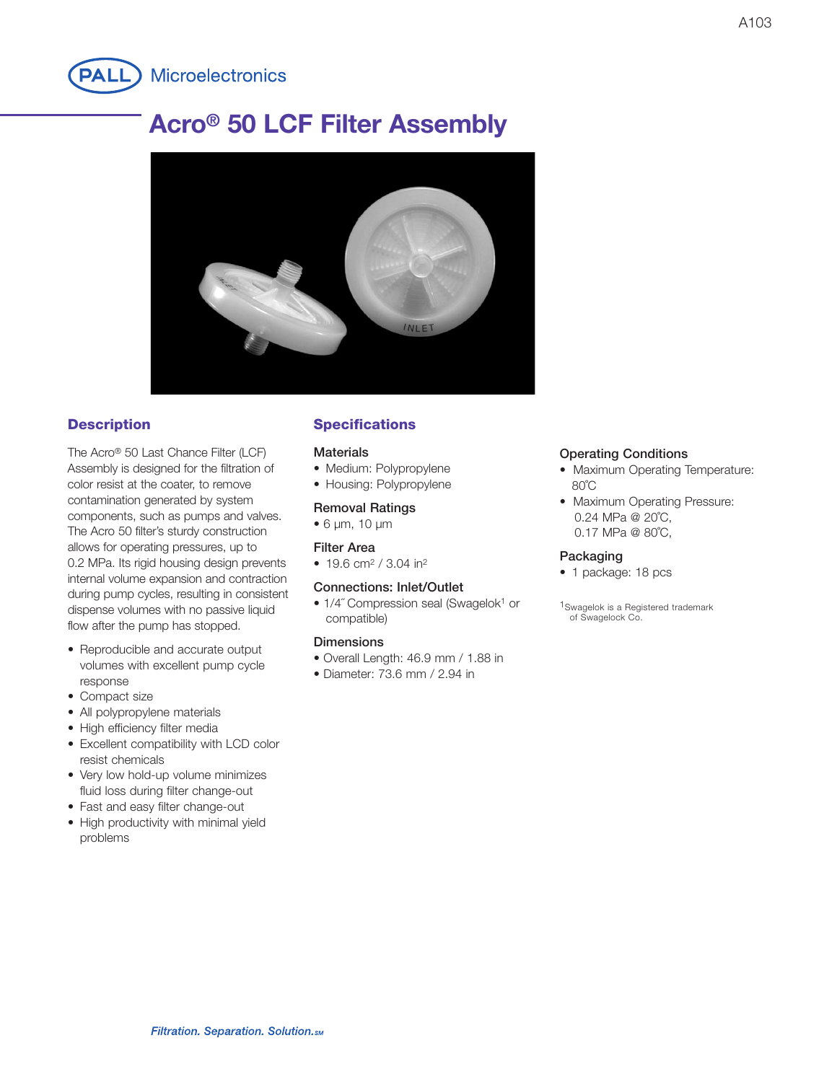

# **Acro® 50 LCF Filter Assembly**



## **Description**

The Acro® 50 Last Chance Filter (LCF) Assembly is designed for the filtration of color resist at the coater, to remove contamination generated by system components, such as pumps and valves. The Acro 50 filter's sturdy construction allows for operating pressures, up to 0.2 MPa. Its rigid housing design prevents internal volume expansion and contraction during pump cycles, resulting in consistent dispense volumes with no passive liquid flow after the pump has stopped.

- Reproducible and accurate output volumes with excellent pump cycle response
- Compact size
- All polypropylene materials
- High efficiency filter media
- Excellent compatibility with LCD color resist chemicals
- Very low hold-up volume minimizes fluid loss during filter change-out
- Fast and easy filter change-out
- High productivity with minimal yield problems

# **Specifications**

#### **Materials**

- Medium: Polypropylene
- Housing: Polypropylene

#### **Removal Ratings**

• 6 µm, 10 µm

#### **Filter Area**

• 19.6 cm<sup>2</sup> / 3.04 in<sup>2</sup>

#### **Connections: Inlet/Outlet**

• 1/4" Compression seal (Swagelok<sup>1</sup> or compatible)

#### **Dimensions**

- Overall Length: 46.9 mm / 1.88 in
- Diameter: 73.6 mm / 2.94 in

#### **Operating Conditions**

- Maximum Operating Temperature: 80˚C
- Maximum Operating Pressure: 0.24 MPa @ 20˚C, 0.17 MPa @ 80˚C,

#### **Packaging**

- 1 package: 18 pcs
- 1Swagelok is a Registered trademark of Swagelock Co.